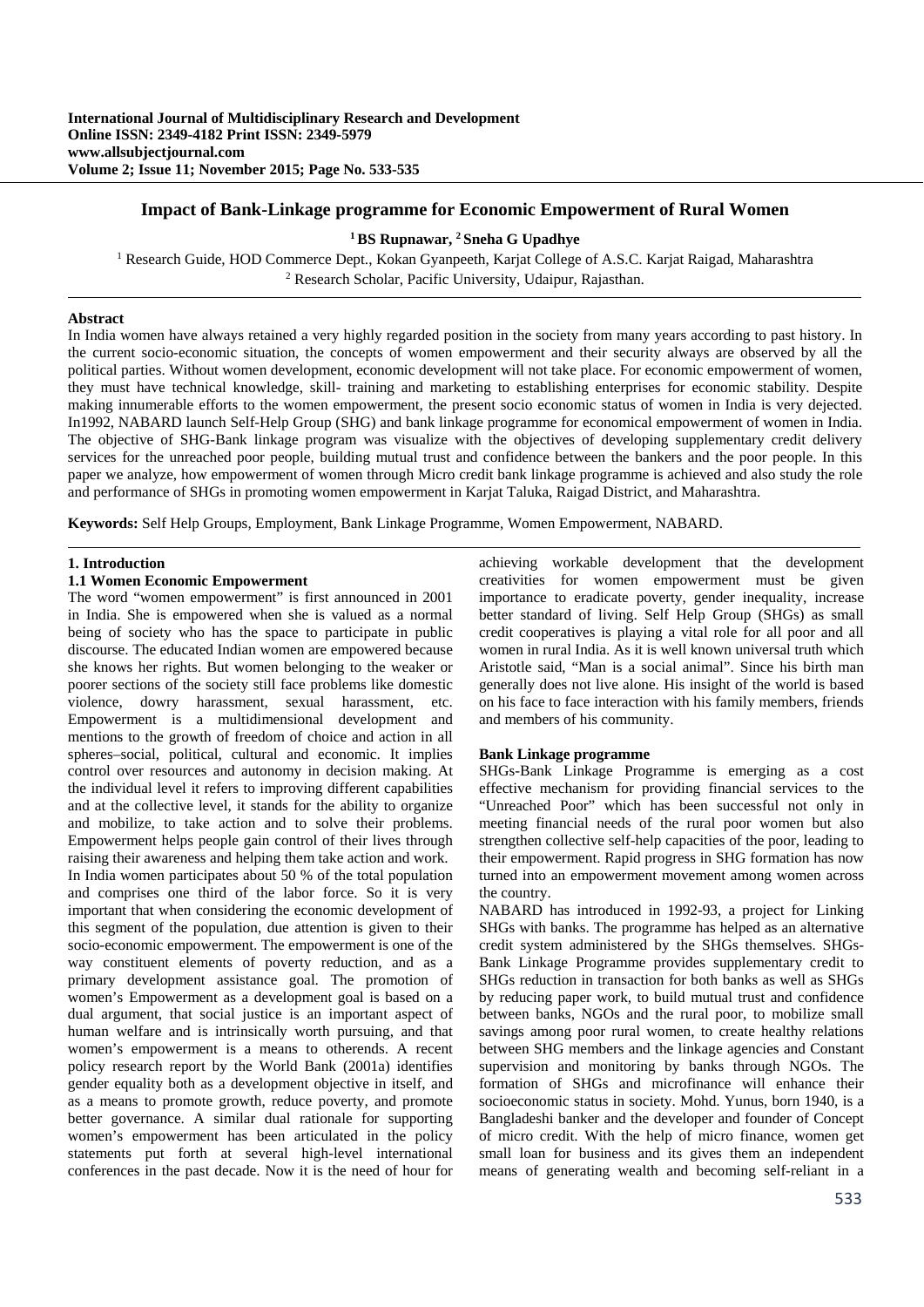# **Impact of Bank-Linkage programme for Economic Empowerment of Rural Women**

## **1 BS Rupnawar, 2 Sneha G Upadhye**

<sup>1</sup> Research Guide, HOD Commerce Dept., Kokan Gyanpeeth, Karjat College of A.S.C. Karjat Raigad, Maharashtra <sup>2</sup> Research Scholar, Pacific University, Udainur, Raiasthan <sup>2</sup> Research Scholar, Pacific University, Udaipur, Rajasthan.

### **Abstract**

In India women have always retained a very highly regarded position in the society from many years according to past history. In the current socio-economic situation, the concepts of women empowerment and their security always are observed by all the political parties. Without women development, economic development will not take place. For economic empowerment of women, they must have technical knowledge, skill- training and marketing to establishing enterprises for economic stability. Despite making innumerable efforts to the women empowerment, the present socio economic status of women in India is very dejected. In1992, NABARD launch Self-Help Group (SHG) and bank linkage programme for economical empowerment of women in India. The objective of SHG-Bank linkage program was visualize with the objectives of developing supplementary credit delivery services for the unreached poor people, building mutual trust and confidence between the bankers and the poor people. In this paper we analyze, how empowerment of women through Micro credit bank linkage programme is achieved and also study the role and performance of SHGs in promoting women empowerment in Karjat Taluka, Raigad District, and Maharashtra.

**Keywords:** Self Help Groups, Employment, Bank Linkage Programme, Women Empowerment, NABARD.

#### **1. Introduction**

### **1.1 Women Economic Empowerment**

The word "women empowerment" is first announced in 2001 in India. She is empowered when she is valued as a normal being of society who has the space to participate in public discourse. The educated Indian women are empowered because she knows her rights. But women belonging to the weaker or poorer sections of the society still face problems like domestic violence, dowry harassment, sexual harassment, etc. Empowerment is a multidimensional development and mentions to the growth of freedom of choice and action in all spheres–social, political, cultural and economic. It implies control over resources and autonomy in decision making. At the individual level it refers to improving different capabilities and at the collective level, it stands for the ability to organize and mobilize, to take action and to solve their problems. Empowerment helps people gain control of their lives through raising their awareness and helping them take action and work. In India women participates about 50 % of the total population and comprises one third of the labor force. So it is very important that when considering the economic development of this segment of the population, due attention is given to their socio-economic empowerment. The empowerment is one of the way constituent elements of poverty reduction, and as a primary development assistance goal. The promotion of women's Empowerment as a development goal is based on a dual argument, that social justice is an important aspect of human welfare and is intrinsically worth pursuing, and that women's empowerment is a means to otherends. A recent policy research report by the World Bank (2001a) identifies gender equality both as a development objective in itself, and as a means to promote growth, reduce poverty, and promote better governance. A similar dual rationale for supporting women's empowerment has been articulated in the policy statements put forth at several high-level international conferences in the past decade. Now it is the need of hour for achieving workable development that the development creativities for women empowerment must be given importance to eradicate poverty, gender inequality, increase better standard of living. Self Help Group (SHGs) as small credit cooperatives is playing a vital role for all poor and all women in rural India. As it is well known universal truth which Aristotle said, "Man is a social animal". Since his birth man generally does not live alone. His insight of the world is based on his face to face interaction with his family members, friends and members of his community.

### **Bank Linkage programme**

SHGs-Bank Linkage Programme is emerging as a cost effective mechanism for providing financial services to the "Unreached Poor" which has been successful not only in meeting financial needs of the rural poor women but also strengthen collective self-help capacities of the poor, leading to their empowerment. Rapid progress in SHG formation has now turned into an empowerment movement among women across the country.

NABARD has introduced in 1992-93, a project for Linking SHGs with banks. The programme has helped as an alternative credit system administered by the SHGs themselves. SHGs-Bank Linkage Programme provides supplementary credit to SHGs reduction in transaction for both banks as well as SHGs by reducing paper work, to build mutual trust and confidence between banks, NGOs and the rural poor, to mobilize small savings among poor rural women, to create healthy relations between SHG members and the linkage agencies and Constant supervision and monitoring by banks through NGOs. The formation of SHGs and microfinance will enhance their socioeconomic status in society. Mohd. Yunus, born 1940, is a Bangladeshi banker and the developer and founder of Concept of micro credit. With the help of micro finance, women get small loan for business and its gives them an independent means of generating wealth and becoming self-reliant in a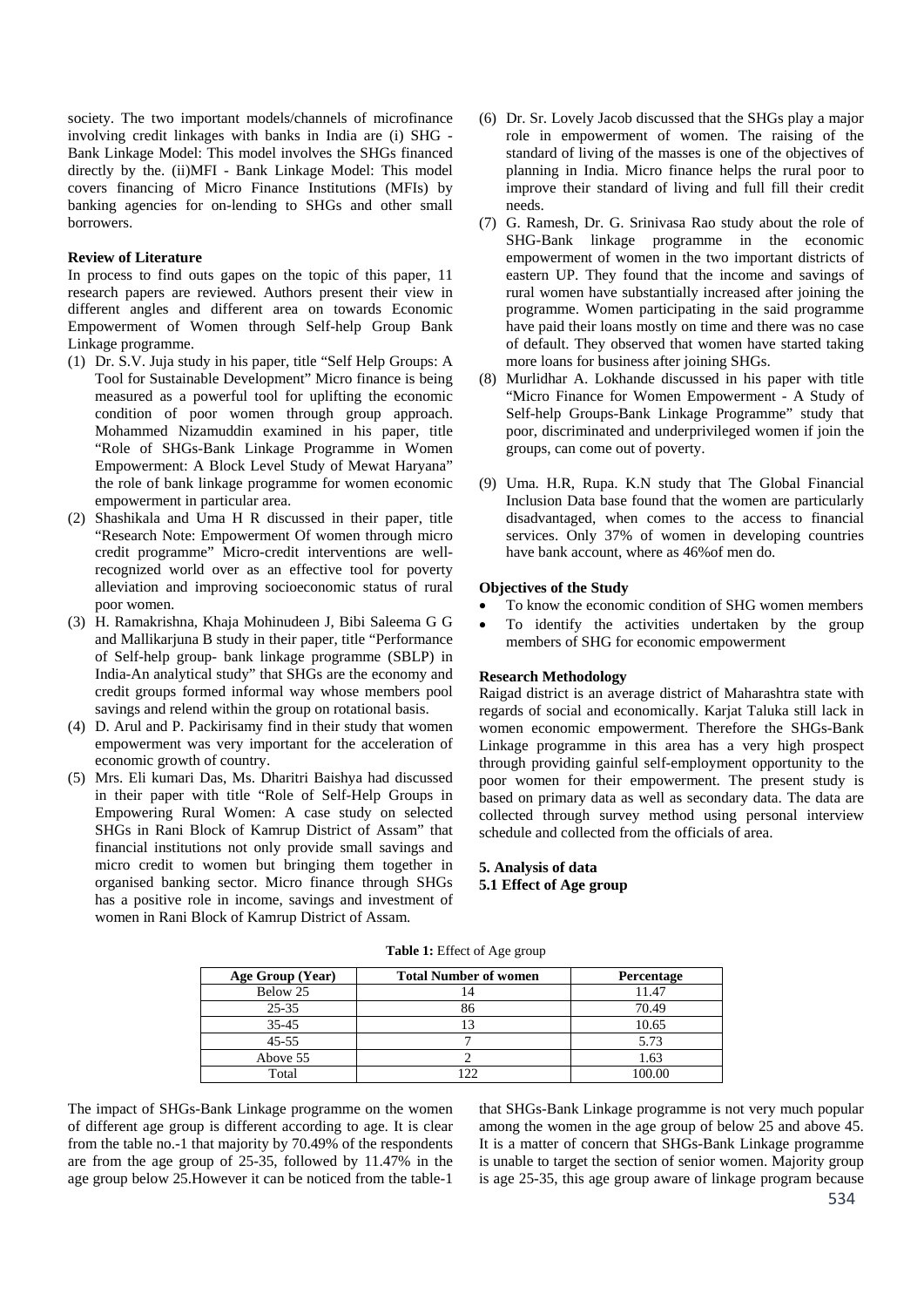society. The two important models/channels of microfinance involving credit linkages with banks in India are (i) SHG - Bank Linkage Model: This model involves the SHGs financed directly by the. (ii)MFI - Bank Linkage Model: This model covers financing of Micro Finance Institutions (MFIs) by banking agencies for on-lending to SHGs and other small borrowers.

## **Review of Literature**

In process to find outs gapes on the topic of this paper, 11 research papers are reviewed. Authors present their view in different angles and different area on towards Economic Empowerment of Women through Self-help Group Bank Linkage programme.

- (1) Dr. S.V. Juja study in his paper, title "Self Help Groups: A Tool for Sustainable Development" Micro finance is being measured as a powerful tool for uplifting the economic condition of poor women through group approach. Mohammed Nizamuddin examined in his paper, title "Role of SHGs-Bank Linkage Programme in Women Empowerment: A Block Level Study of Mewat Haryana" the role of bank linkage programme for women economic empowerment in particular area.
- (2) Shashikala and Uma H R discussed in their paper, title "Research Note: Empowerment Of women through micro credit programme" Micro-credit interventions are wellrecognized world over as an effective tool for poverty alleviation and improving socioeconomic status of rural poor women.
- (3) H. Ramakrishna, Khaja Mohinudeen J, Bibi Saleema G G and Mallikarjuna B study in their paper, title "Performance of Self-help group- bank linkage programme (SBLP) in India-An analytical study" that SHGs are the economy and credit groups formed informal way whose members pool savings and relend within the group on rotational basis.
- (4) D. Arul and P. Packirisamy find in their study that women empowerment was very important for the acceleration of economic growth of country.
- (5) Mrs. Eli kumari Das, Ms. Dharitri Baishya had discussed in their paper with title "Role of Self-Help Groups in Empowering Rural Women: A case study on selected SHGs in Rani Block of Kamrup District of Assam" that financial institutions not only provide small savings and micro credit to women but bringing them together in organised banking sector. Micro finance through SHGs has a positive role in income, savings and investment of women in Rani Block of Kamrup District of Assam.
- (6) Dr. Sr. Lovely Jacob discussed that the SHGs play a major role in empowerment of women. The raising of the standard of living of the masses is one of the objectives of planning in India. Micro finance helps the rural poor to improve their standard of living and full fill their credit needs.
- (7) G. Ramesh, Dr. G. Srinivasa Rao study about the role of SHG-Bank linkage programme in the economic empowerment of women in the two important districts of eastern UP. They found that the income and savings of rural women have substantially increased after joining the programme. Women participating in the said programme have paid their loans mostly on time and there was no case of default. They observed that women have started taking more loans for business after joining SHGs.
- (8) Murlidhar A. Lokhande discussed in his paper with title "Micro Finance for Women Empowerment - A Study of Self-help Groups-Bank Linkage Programme" study that poor, discriminated and underprivileged women if join the groups, can come out of poverty.
- (9) Uma. H.R, Rupa. K.N study that The Global Financial Inclusion Data base found that the women are particularly disadvantaged, when comes to the access to financial services. Only 37% of women in developing countries have bank account, where as 46%of men do.

#### **Objectives of the Study**

- To know the economic condition of SHG women members
- To identify the activities undertaken by the group members of SHG for economic empowerment

#### **Research Methodology**

Raigad district is an average district of Maharashtra state with regards of social and economically. Karjat Taluka still lack in women economic empowerment. Therefore the SHGs-Bank Linkage programme in this area has a very high prospect through providing gainful self-employment opportunity to the poor women for their empowerment. The present study is based on primary data as well as secondary data. The data are collected through survey method using personal interview schedule and collected from the officials of area.

# **5. Analysis of data**

**5.1 Effect of Age group** 

| Age Group (Year) | <b>Total Number of women</b> | Percentage |
|------------------|------------------------------|------------|
| Below 25         |                              | 11.47      |
| $25 - 35$        | 86                           | 70.49      |
| $35 - 45$        |                              | 10.65      |
| $45 - 55$        |                              | 5.73       |
| Above 55         |                              | . 63       |
| Total            |                              |            |

**Table 1:** Effect of Age group

The impact of SHGs-Bank Linkage programme on the women of different age group is different according to age. It is clear from the table no.-1 that majority by 70.49% of the respondents are from the age group of 25-35, followed by 11.47% in the age group below 25.However it can be noticed from the table-1

that SHGs-Bank Linkage programme is not very much popular among the women in the age group of below 25 and above 45. It is a matter of concern that SHGs-Bank Linkage programme is unable to target the section of senior women. Majority group is age 25-35, this age group aware of linkage program because